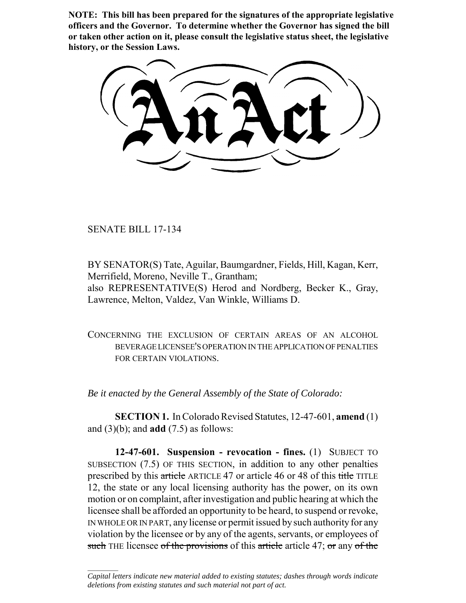**NOTE: This bill has been prepared for the signatures of the appropriate legislative officers and the Governor. To determine whether the Governor has signed the bill or taken other action on it, please consult the legislative status sheet, the legislative history, or the Session Laws.**

SENATE BILL 17-134

 $\frac{1}{2}$ 

BY SENATOR(S) Tate, Aguilar, Baumgardner, Fields, Hill, Kagan, Kerr, Merrifield, Moreno, Neville T., Grantham; also REPRESENTATIVE(S) Herod and Nordberg, Becker K., Gray, Lawrence, Melton, Valdez, Van Winkle, Williams D.

CONCERNING THE EXCLUSION OF CERTAIN AREAS OF AN ALCOHOL BEVERAGE LICENSEE'S OPERATION IN THE APPLICATION OF PENALTIES FOR CERTAIN VIOLATIONS.

*Be it enacted by the General Assembly of the State of Colorado:*

**SECTION 1.** In Colorado Revised Statutes, 12-47-601, **amend** (1) and (3)(b); and **add** (7.5) as follows:

**12-47-601. Suspension - revocation - fines.** (1) SUBJECT TO SUBSECTION (7.5) OF THIS SECTION, in addition to any other penalties prescribed by this article ARTICLE 47 or article 46 or 48 of this title TITLE 12, the state or any local licensing authority has the power, on its own motion or on complaint, after investigation and public hearing at which the licensee shall be afforded an opportunity to be heard, to suspend or revoke, IN WHOLE OR IN PART, any license or permit issued by such authority for any violation by the licensee or by any of the agents, servants, or employees of such THE licensee of the provisions of this article article 47; or any of the

*Capital letters indicate new material added to existing statutes; dashes through words indicate deletions from existing statutes and such material not part of act.*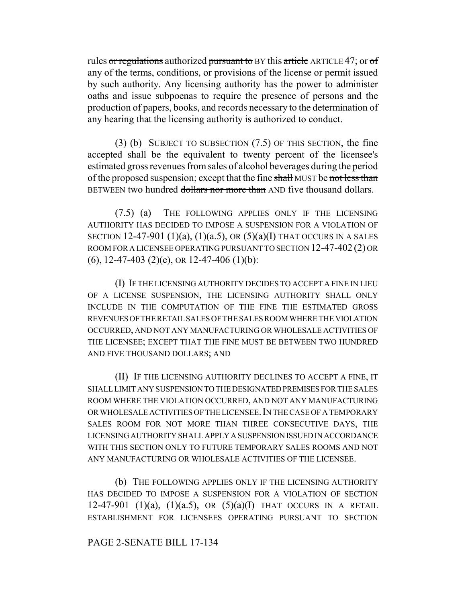rules or regulations authorized pursuant to BY this article ARTICLE 47; or of any of the terms, conditions, or provisions of the license or permit issued by such authority. Any licensing authority has the power to administer oaths and issue subpoenas to require the presence of persons and the production of papers, books, and records necessary to the determination of any hearing that the licensing authority is authorized to conduct.

(3) (b) SUBJECT TO SUBSECTION (7.5) OF THIS SECTION, the fine accepted shall be the equivalent to twenty percent of the licensee's estimated gross revenues from sales of alcohol beverages during the period of the proposed suspension; except that the fine shall MUST be not less than BETWEEN two hundred dollars nor more than AND five thousand dollars.

(7.5) (a) THE FOLLOWING APPLIES ONLY IF THE LICENSING AUTHORITY HAS DECIDED TO IMPOSE A SUSPENSION FOR A VIOLATION OF SECTION 12-47-901 (1)(a), (1)(a.5), OR  $(5)(a)(I)$  THAT OCCURS IN A SALES ROOM FOR A LICENSEE OPERATING PURSUANT TO SECTION 12-47-402 (2) OR  $(6)$ , 12-47-403 (2)(e), OR 12-47-406 (1)(b):

(I) IF THE LICENSING AUTHORITY DECIDES TO ACCEPT A FINE IN LIEU OF A LICENSE SUSPENSION, THE LICENSING AUTHORITY SHALL ONLY INCLUDE IN THE COMPUTATION OF THE FINE THE ESTIMATED GROSS REVENUES OF THE RETAIL SALES OF THE SALES ROOM WHERE THE VIOLATION OCCURRED, AND NOT ANY MANUFACTURING OR WHOLESALE ACTIVITIES OF THE LICENSEE; EXCEPT THAT THE FINE MUST BE BETWEEN TWO HUNDRED AND FIVE THOUSAND DOLLARS; AND

(II) IF THE LICENSING AUTHORITY DECLINES TO ACCEPT A FINE, IT SHALL LIMIT ANY SUSPENSION TO THE DESIGNATED PREMISES FOR THE SALES ROOM WHERE THE VIOLATION OCCURRED, AND NOT ANY MANUFACTURING OR WHOLESALE ACTIVITIES OF THE LICENSEE.IN THE CASE OF A TEMPORARY SALES ROOM FOR NOT MORE THAN THREE CONSECUTIVE DAYS, THE LICENSING AUTHORITY SHALL APPLY A SUSPENSION ISSUED IN ACCORDANCE WITH THIS SECTION ONLY TO FUTURE TEMPORARY SALES ROOMS AND NOT ANY MANUFACTURING OR WHOLESALE ACTIVITIES OF THE LICENSEE.

(b) THE FOLLOWING APPLIES ONLY IF THE LICENSING AUTHORITY HAS DECIDED TO IMPOSE A SUSPENSION FOR A VIOLATION OF SECTION 12-47-901 (1)(a), (1)(a.5), OR (5)(a)(I) THAT OCCURS IN A RETAIL ESTABLISHMENT FOR LICENSEES OPERATING PURSUANT TO SECTION

## PAGE 2-SENATE BILL 17-134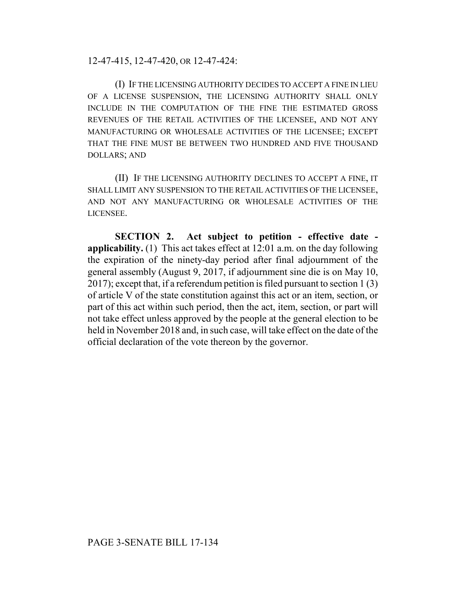12-47-415, 12-47-420, OR 12-47-424:

(I) IF THE LICENSING AUTHORITY DECIDES TO ACCEPT A FINE IN LIEU OF A LICENSE SUSPENSION, THE LICENSING AUTHORITY SHALL ONLY INCLUDE IN THE COMPUTATION OF THE FINE THE ESTIMATED GROSS REVENUES OF THE RETAIL ACTIVITIES OF THE LICENSEE, AND NOT ANY MANUFACTURING OR WHOLESALE ACTIVITIES OF THE LICENSEE; EXCEPT THAT THE FINE MUST BE BETWEEN TWO HUNDRED AND FIVE THOUSAND DOLLARS; AND

(II) IF THE LICENSING AUTHORITY DECLINES TO ACCEPT A FINE, IT SHALL LIMIT ANY SUSPENSION TO THE RETAIL ACTIVITIES OF THE LICENSEE, AND NOT ANY MANUFACTURING OR WHOLESALE ACTIVITIES OF THE LICENSEE.

**SECTION 2. Act subject to petition - effective date applicability.** (1) This act takes effect at 12:01 a.m. on the day following the expiration of the ninety-day period after final adjournment of the general assembly (August 9, 2017, if adjournment sine die is on May 10, 2017); except that, if a referendum petition is filed pursuant to section 1 (3) of article V of the state constitution against this act or an item, section, or part of this act within such period, then the act, item, section, or part will not take effect unless approved by the people at the general election to be held in November 2018 and, in such case, will take effect on the date of the official declaration of the vote thereon by the governor.